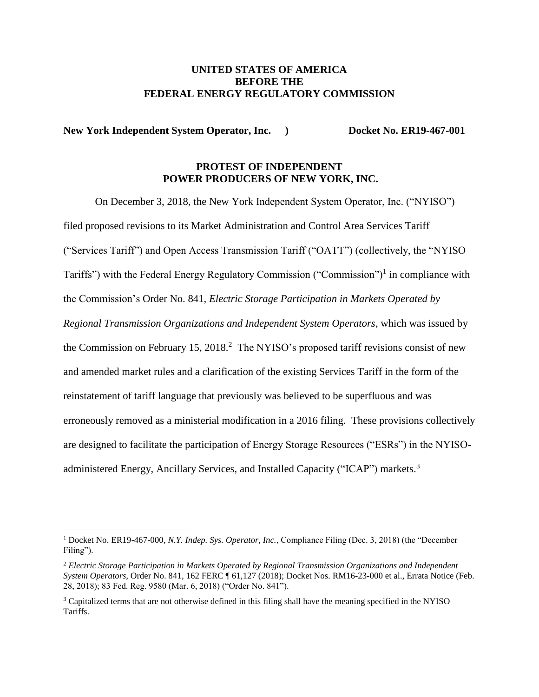## **UNITED STATES OF AMERICA BEFORE THE FEDERAL ENERGY REGULATORY COMMISSION**

**New York Independent System Operator, Inc. ) Docket No. ER19-467-001**

# **PROTEST OF INDEPENDENT POWER PRODUCERS OF NEW YORK, INC.**

On December 3, 2018, the New York Independent System Operator, Inc. ("NYISO") filed proposed revisions to its Market Administration and Control Area Services Tariff ("Services Tariff") and Open Access Transmission Tariff ("OATT") (collectively, the "NYISO Tariffs") with the Federal Energy Regulatory Commission ("Commission")<sup>1</sup> in compliance with the Commission's Order No. 841, *Electric Storage Participation in Markets Operated by Regional Transmission Organizations and Independent System Operators*, which was issued by the Commission on February 15, 2018.<sup>2</sup> The NYISO's proposed tariff revisions consist of new and amended market rules and a clarification of the existing Services Tariff in the form of the reinstatement of tariff language that previously was believed to be superfluous and was erroneously removed as a ministerial modification in a 2016 filing. These provisions collectively are designed to facilitate the participation of Energy Storage Resources ("ESRs") in the NYISOadministered Energy, Ancillary Services, and Installed Capacity ("ICAP") markets.<sup>3</sup>

<sup>1</sup> Docket No. ER19-467-000, *N.Y. Indep. Sys. Operator, Inc.*, Compliance Filing (Dec. 3, 2018) (the "December Filing").

<sup>2</sup> *Electric Storage Participation in Markets Operated by Regional Transmission Organizations and Independent System Operators*, Order No. 841, 162 FERC ¶ 61,127 (2018); Docket Nos. RM16-23-000 et al., Errata Notice (Feb. 28, 2018); 83 Fed. Reg. 9580 (Mar. 6, 2018) ("Order No. 841").

<sup>&</sup>lt;sup>3</sup> Capitalized terms that are not otherwise defined in this filing shall have the meaning specified in the NYISO Tariffs.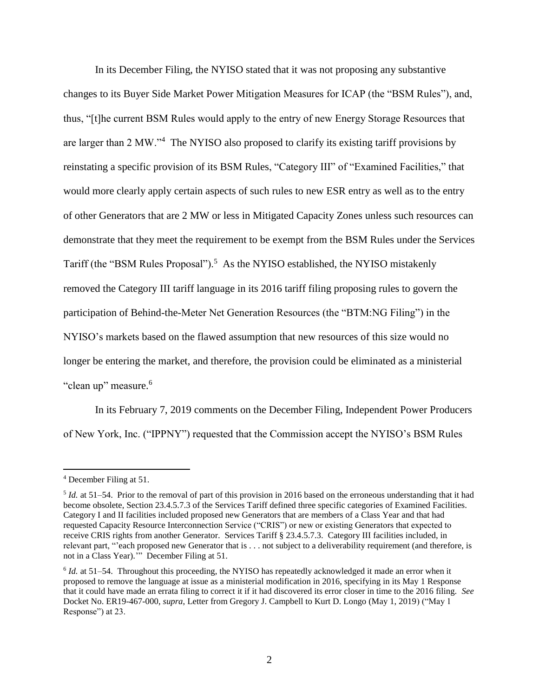In its December Filing, the NYISO stated that it was not proposing any substantive changes to its Buyer Side Market Power Mitigation Measures for ICAP (the "BSM Rules"), and, thus, "[t]he current BSM Rules would apply to the entry of new Energy Storage Resources that are larger than 2 MW."<sup>4</sup> The NYISO also proposed to clarify its existing tariff provisions by reinstating a specific provision of its BSM Rules, "Category III" of "Examined Facilities," that would more clearly apply certain aspects of such rules to new ESR entry as well as to the entry of other Generators that are 2 MW or less in Mitigated Capacity Zones unless such resources can demonstrate that they meet the requirement to be exempt from the BSM Rules under the Services Tariff (the "BSM Rules Proposal").<sup>5</sup> As the NYISO established, the NYISO mistakenly removed the Category III tariff language in its 2016 tariff filing proposing rules to govern the participation of Behind-the-Meter Net Generation Resources (the "BTM:NG Filing") in the NYISO's markets based on the flawed assumption that new resources of this size would no longer be entering the market, and therefore, the provision could be eliminated as a ministerial "clean up" measure.<sup>6</sup>

In its February 7, 2019 comments on the December Filing, Independent Power Producers of New York, Inc. ("IPPNY") requested that the Commission accept the NYISO's BSM Rules

<sup>4</sup> December Filing at 51.

<sup>5</sup> *Id.* at 51–54. Prior to the removal of part of this provision in 2016 based on the erroneous understanding that it had become obsolete, Section 23.4.5.7.3 of the Services Tariff defined three specific categories of Examined Facilities. Category I and II facilities included proposed new Generators that are members of a Class Year and that had requested Capacity Resource Interconnection Service ("CRIS") or new or existing Generators that expected to receive CRIS rights from another Generator. Services Tariff § 23.4.5.7.3. Category III facilities included, in relevant part, "'each proposed new Generator that is . . . not subject to a deliverability requirement (and therefore, is not in a Class Year).'" December Filing at 51.

<sup>&</sup>lt;sup>6</sup> *Id.* at 51–54. Throughout this proceeding, the NYISO has repeatedly acknowledged it made an error when it proposed to remove the language at issue as a ministerial modification in 2016, specifying in its May 1 Response that it could have made an errata filing to correct it if it had discovered its error closer in time to the 2016 filing. *See* Docket No. ER19-467-000, *supra*, Letter from Gregory J. Campbell to Kurt D. Longo (May 1, 2019) ("May 1 Response") at 23.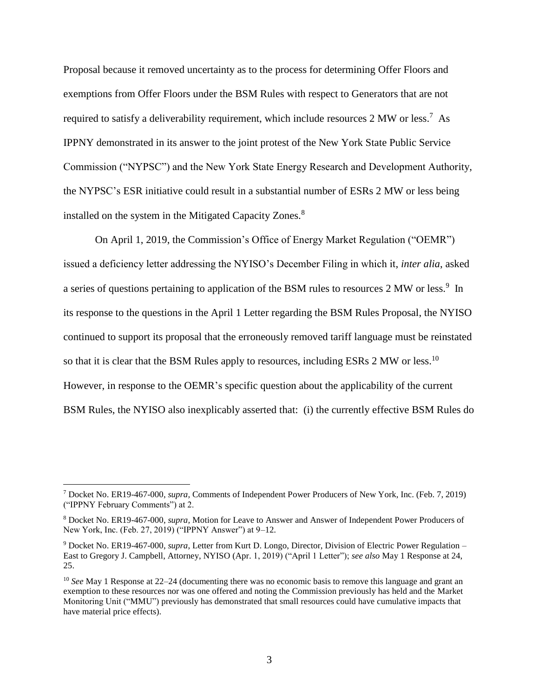Proposal because it removed uncertainty as to the process for determining Offer Floors and exemptions from Offer Floors under the BSM Rules with respect to Generators that are not required to satisfy a deliverability requirement, which include resources 2 MW or less.<sup>7</sup> As IPPNY demonstrated in its answer to the joint protest of the New York State Public Service Commission ("NYPSC") and the New York State Energy Research and Development Authority, the NYPSC's ESR initiative could result in a substantial number of ESRs 2 MW or less being installed on the system in the Mitigated Capacity Zones.<sup>8</sup>

On April 1, 2019, the Commission's Office of Energy Market Regulation ("OEMR") issued a deficiency letter addressing the NYISO's December Filing in which it, *inter alia*, asked a series of questions pertaining to application of the BSM rules to resources 2 MW or less.<sup>9</sup> In its response to the questions in the April 1 Letter regarding the BSM Rules Proposal, the NYISO continued to support its proposal that the erroneously removed tariff language must be reinstated so that it is clear that the BSM Rules apply to resources, including ESRs 2 MW or less.<sup>10</sup> However, in response to the OEMR's specific question about the applicability of the current BSM Rules, the NYISO also inexplicably asserted that: (i) the currently effective BSM Rules do

<sup>7</sup> Docket No. ER19-467-000, *supra,* Comments of Independent Power Producers of New York, Inc. (Feb. 7, 2019) ("IPPNY February Comments") at 2.

<sup>8</sup> Docket No. ER19-467-000, *supra,* Motion for Leave to Answer and Answer of Independent Power Producers of New York, Inc. (Feb. 27, 2019) ("IPPNY Answer") at 9–12.

<sup>9</sup> Docket No. ER19-467-000, *supra*, Letter from Kurt D. Longo, Director, Division of Electric Power Regulation – East to Gregory J. Campbell, Attorney, NYISO (Apr. 1, 2019) ("April 1 Letter"); *see also* May 1 Response at 24, 25.

<sup>10</sup> *See* May 1 Response at 22–24 (documenting there was no economic basis to remove this language and grant an exemption to these resources nor was one offered and noting the Commission previously has held and the Market Monitoring Unit ("MMU") previously has demonstrated that small resources could have cumulative impacts that have material price effects).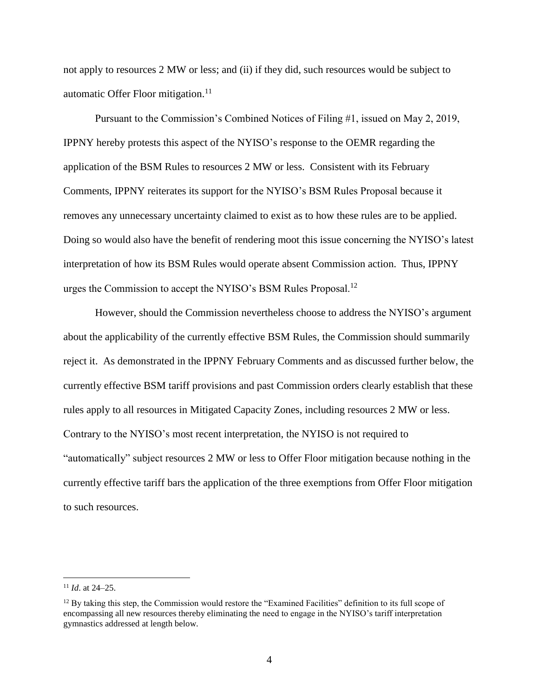not apply to resources 2 MW or less; and (ii) if they did, such resources would be subject to automatic Offer Floor mitigation.<sup>11</sup>

Pursuant to the Commission's Combined Notices of Filing #1, issued on May 2, 2019, IPPNY hereby protests this aspect of the NYISO's response to the OEMR regarding the application of the BSM Rules to resources 2 MW or less. Consistent with its February Comments, IPPNY reiterates its support for the NYISO's BSM Rules Proposal because it removes any unnecessary uncertainty claimed to exist as to how these rules are to be applied. Doing so would also have the benefit of rendering moot this issue concerning the NYISO's latest interpretation of how its BSM Rules would operate absent Commission action. Thus, IPPNY urges the Commission to accept the NYISO's BSM Rules Proposal.<sup>12</sup>

However, should the Commission nevertheless choose to address the NYISO's argument about the applicability of the currently effective BSM Rules, the Commission should summarily reject it. As demonstrated in the IPPNY February Comments and as discussed further below, the currently effective BSM tariff provisions and past Commission orders clearly establish that these rules apply to all resources in Mitigated Capacity Zones, including resources 2 MW or less. Contrary to the NYISO's most recent interpretation, the NYISO is not required to "automatically" subject resources 2 MW or less to Offer Floor mitigation because nothing in the currently effective tariff bars the application of the three exemptions from Offer Floor mitigation to such resources.

<sup>11</sup> *Id*. at 24–25.

<sup>&</sup>lt;sup>12</sup> By taking this step, the Commission would restore the "Examined Facilities" definition to its full scope of encompassing all new resources thereby eliminating the need to engage in the NYISO's tariff interpretation gymnastics addressed at length below.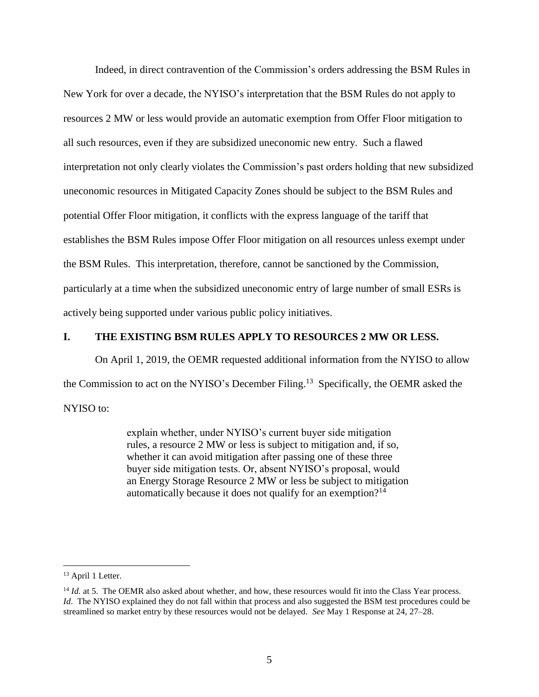Indeed, in direct contravention of the Commission's orders addressing the BSM Rules in New York for over a decade, the NYISO's interpretation that the BSM Rules do not apply to resources 2 MW or less would provide an automatic exemption from Offer Floor mitigation to all such resources, even if they are subsidized uneconomic new entry. Such a flawed interpretation not only clearly violates the Commission's past orders holding that new subsidized uneconomic resources in Mitigated Capacity Zones should be subject to the BSM Rules and potential Offer Floor mitigation, it conflicts with the express language of the tariff that establishes the BSM Rules impose Offer Floor mitigation on all resources unless exempt under the BSM Rules. This interpretation, therefore, cannot be sanctioned by the Commission, particularly at a time when the subsidized uneconomic entry of large number of small ESRs is actively being supported under various public policy initiatives.

#### **I. THE EXISTING BSM RULES APPLY TO RESOURCES 2 MW OR LESS.**

On April 1, 2019, the OEMR requested additional information from the NYISO to allow the Commission to act on the NYISO's December Filing.<sup>13</sup> Specifically, the OEMR asked the NYISO to:

> explain whether, under NYISO's current buyer side mitigation rules, a resource 2 MW or less is subject to mitigation and, if so, whether it can avoid mitigation after passing one of these three buyer side mitigation tests. Or, absent NYISO's proposal, would an Energy Storage Resource 2 MW or less be subject to mitigation automatically because it does not qualify for an exemption?<sup>14</sup>

<sup>&</sup>lt;sup>13</sup> April 1 Letter.

<sup>&</sup>lt;sup>14</sup> *Id.* at 5. The OEMR also asked about whether, and how, these resources would fit into the Class Year process. *Id*. The NYISO explained they do not fall within that process and also suggested the BSM test procedures could be streamlined so market entry by these resources would not be delayed. *See* May 1 Response at 24, 27–28.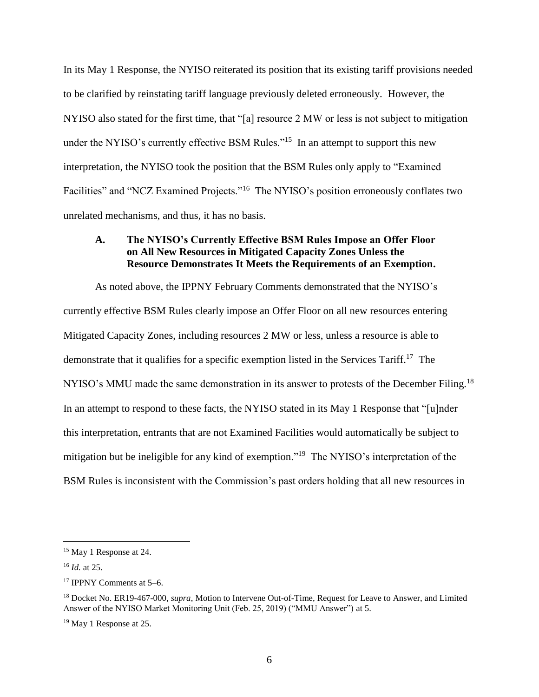In its May 1 Response, the NYISO reiterated its position that its existing tariff provisions needed to be clarified by reinstating tariff language previously deleted erroneously. However, the NYISO also stated for the first time, that "[a] resource 2 MW or less is not subject to mitigation under the NYISO's currently effective BSM Rules.<sup> $15$ </sup> In an attempt to support this new interpretation, the NYISO took the position that the BSM Rules only apply to "Examined Facilities" and "NCZ Examined Projects."<sup>16</sup> The NYISO's position erroneously conflates two unrelated mechanisms, and thus, it has no basis.

### **A. The NYISO's Currently Effective BSM Rules Impose an Offer Floor on All New Resources in Mitigated Capacity Zones Unless the Resource Demonstrates It Meets the Requirements of an Exemption.**

As noted above, the IPPNY February Comments demonstrated that the NYISO's currently effective BSM Rules clearly impose an Offer Floor on all new resources entering Mitigated Capacity Zones, including resources 2 MW or less, unless a resource is able to demonstrate that it qualifies for a specific exemption listed in the Services Tariff.<sup>17</sup> The NYISO's MMU made the same demonstration in its answer to protests of the December Filing.<sup>18</sup> In an attempt to respond to these facts, the NYISO stated in its May 1 Response that "[u]nder this interpretation, entrants that are not Examined Facilities would automatically be subject to mitigation but be ineligible for any kind of exemption."<sup>19</sup> The NYISO's interpretation of the BSM Rules is inconsistent with the Commission's past orders holding that all new resources in

<sup>&</sup>lt;sup>15</sup> May 1 Response at 24.

<sup>16</sup> *Id.* at 25.

<sup>17</sup> IPPNY Comments at 5–6.

<sup>18</sup> Docket No. ER19-467-000, *supra*, Motion to Intervene Out-of-Time, Request for Leave to Answer, and Limited Answer of the NYISO Market Monitoring Unit (Feb. 25, 2019) ("MMU Answer") at 5.

<sup>&</sup>lt;sup>19</sup> May 1 Response at 25.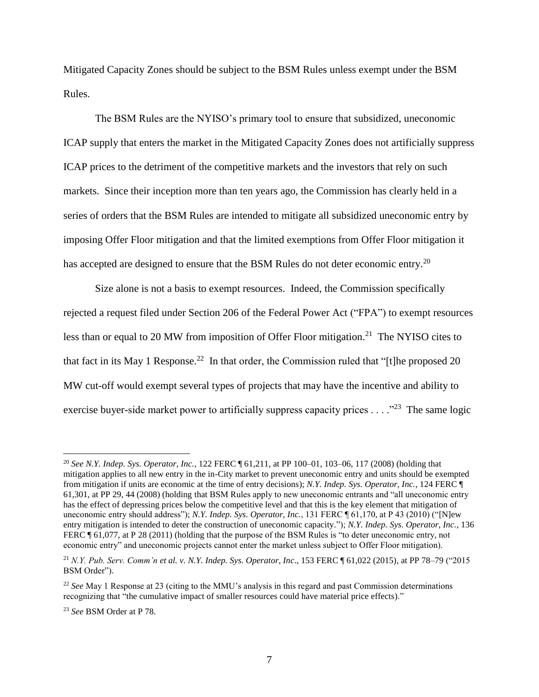Mitigated Capacity Zones should be subject to the BSM Rules unless exempt under the BSM Rules.

The BSM Rules are the NYISO's primary tool to ensure that subsidized, uneconomic ICAP supply that enters the market in the Mitigated Capacity Zones does not artificially suppress ICAP prices to the detriment of the competitive markets and the investors that rely on such markets. Since their inception more than ten years ago, the Commission has clearly held in a series of orders that the BSM Rules are intended to mitigate all subsidized uneconomic entry by imposing Offer Floor mitigation and that the limited exemptions from Offer Floor mitigation it has accepted are designed to ensure that the BSM Rules do not deter economic entry.<sup>20</sup>

Size alone is not a basis to exempt resources. Indeed, the Commission specifically rejected a request filed under Section 206 of the Federal Power Act ("FPA") to exempt resources less than or equal to 20 MW from imposition of Offer Floor mitigation.<sup>21</sup> The NYISO cites to that fact in its May 1 Response.<sup>22</sup> In that order, the Commission ruled that "[t]he proposed 20 MW cut-off would exempt several types of projects that may have the incentive and ability to exercise buyer-side market power to artificially suppress capacity prices  $\ldots$  ."<sup>23</sup> The same logic

<sup>20</sup> *See N.Y. Indep. Sys. Operator, Inc.*, 122 FERC ¶ 61,211, at PP 100–01, 103–06, 117 (2008) (holding that mitigation applies to all new entry in the in-City market to prevent uneconomic entry and units should be exempted from mitigation if units are economic at the time of entry decisions); *N.Y. Indep. Sys. Operator, Inc.*, 124 FERC ¶ 61,301, at PP 29, 44 (2008) (holding that BSM Rules apply to new uneconomic entrants and "all uneconomic entry has the effect of depressing prices below the competitive level and that this is the key element that mitigation of uneconomic entry should address"); *N.Y. Indep. Sys. Operator, Inc.*, 131 FERC ¶ 61,170, at P 43 (2010) ("[N]ew entry mitigation is intended to deter the construction of uneconomic capacity."); *N.Y. Indep. Sys. Operator, Inc.*, 136 FERC ¶ 61,077, at P 28 (2011) (holding that the purpose of the BSM Rules is "to deter uneconomic entry, not economic entry" and uneconomic projects cannot enter the market unless subject to Offer Floor mitigation).

<sup>21</sup> *N.Y. Pub. Serv. Comm'n et al. v. N.Y. Indep. Sys. Operator, Inc*., 153 FERC ¶ 61,022 (2015), at PP 78–79 ("2015 BSM Order").

<sup>22</sup> *See* May 1 Response at 23 (citing to the MMU's analysis in this regard and past Commission determinations recognizing that "the cumulative impact of smaller resources could have material price effects)."

<sup>23</sup> *See* BSM Order at P 78.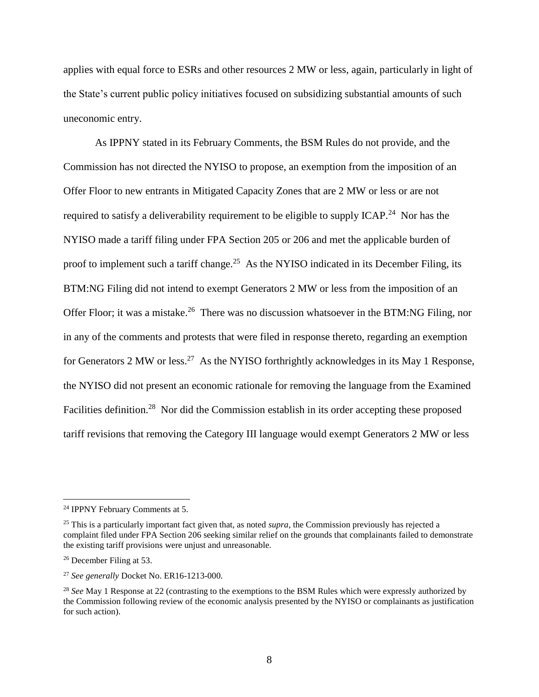applies with equal force to ESRs and other resources 2 MW or less, again, particularly in light of the State's current public policy initiatives focused on subsidizing substantial amounts of such uneconomic entry.

As IPPNY stated in its February Comments, the BSM Rules do not provide, and the Commission has not directed the NYISO to propose, an exemption from the imposition of an Offer Floor to new entrants in Mitigated Capacity Zones that are 2 MW or less or are not required to satisfy a deliverability requirement to be eligible to supply ICAP.<sup>24</sup> Nor has the NYISO made a tariff filing under FPA Section 205 or 206 and met the applicable burden of proof to implement such a tariff change.<sup>25</sup> As the NYISO indicated in its December Filing, its BTM:NG Filing did not intend to exempt Generators 2 MW or less from the imposition of an Offer Floor; it was a mistake.<sup>26</sup> There was no discussion whatsoever in the BTM:NG Filing, nor in any of the comments and protests that were filed in response thereto, regarding an exemption for Generators 2 MW or less.<sup>27</sup> As the NYISO forthrightly acknowledges in its May 1 Response, the NYISO did not present an economic rationale for removing the language from the Examined Facilities definition.<sup>28</sup> Nor did the Commission establish in its order accepting these proposed tariff revisions that removing the Category III language would exempt Generators 2 MW or less

<sup>24</sup> IPPNY February Comments at 5.

<sup>25</sup> This is a particularly important fact given that, as noted *supra*, the Commission previously has rejected a complaint filed under FPA Section 206 seeking similar relief on the grounds that complainants failed to demonstrate the existing tariff provisions were unjust and unreasonable.

<sup>26</sup> December Filing at 53.

<sup>27</sup> *See generally* Docket No. ER16-1213-000.

<sup>&</sup>lt;sup>28</sup> See May 1 Response at 22 (contrasting to the exemptions to the BSM Rules which were expressly authorized by the Commission following review of the economic analysis presented by the NYISO or complainants as justification for such action).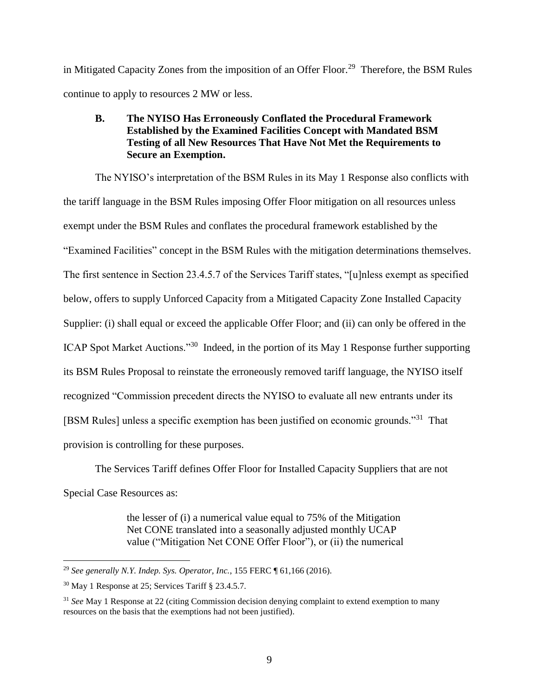in Mitigated Capacity Zones from the imposition of an Offer Floor.<sup>29</sup> Therefore, the BSM Rules continue to apply to resources 2 MW or less.

## **B. The NYISO Has Erroneously Conflated the Procedural Framework Established by the Examined Facilities Concept with Mandated BSM Testing of all New Resources That Have Not Met the Requirements to Secure an Exemption.**

The NYISO's interpretation of the BSM Rules in its May 1 Response also conflicts with the tariff language in the BSM Rules imposing Offer Floor mitigation on all resources unless exempt under the BSM Rules and conflates the procedural framework established by the "Examined Facilities" concept in the BSM Rules with the mitigation determinations themselves. The first sentence in Section 23.4.5.7 of the Services Tariff states, "[u]nless exempt as specified below, offers to supply Unforced Capacity from a Mitigated Capacity Zone Installed Capacity Supplier: (i) shall equal or exceed the applicable Offer Floor; and (ii) can only be offered in the ICAP Spot Market Auctions."<sup>30</sup> Indeed, in the portion of its May 1 Response further supporting its BSM Rules Proposal to reinstate the erroneously removed tariff language, the NYISO itself recognized "Commission precedent directs the NYISO to evaluate all new entrants under its [BSM Rules] unless a specific exemption has been justified on economic grounds."<sup>31</sup> That provision is controlling for these purposes.

The Services Tariff defines Offer Floor for Installed Capacity Suppliers that are not Special Case Resources as:

> the lesser of (i) a numerical value equal to 75% of the Mitigation Net CONE translated into a seasonally adjusted monthly UCAP value ("Mitigation Net CONE Offer Floor"), or (ii) the numerical

<sup>29</sup> *See generally N.Y. Indep. Sys. Operator, Inc.*, 155 FERC ¶ 61,166 (2016).

<sup>30</sup> May 1 Response at 25; Services Tariff § 23.4.5.7*.*

<sup>31</sup> *See* May 1 Response at 22 (citing Commission decision denying complaint to extend exemption to many resources on the basis that the exemptions had not been justified).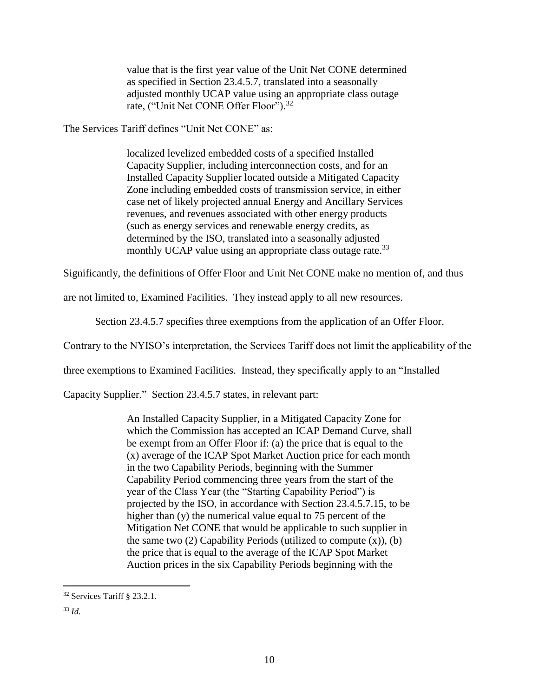value that is the first year value of the Unit Net CONE determined as specified in Section 23.4.5.7, translated into a seasonally adjusted monthly UCAP value using an appropriate class outage rate, ("Unit Net CONE Offer Floor").<sup>32</sup>

The Services Tariff defines "Unit Net CONE" as:

localized levelized embedded costs of a specified Installed Capacity Supplier, including interconnection costs, and for an Installed Capacity Supplier located outside a Mitigated Capacity Zone including embedded costs of transmission service, in either case net of likely projected annual Energy and Ancillary Services revenues, and revenues associated with other energy products (such as energy services and renewable energy credits, as determined by the ISO, translated into a seasonally adjusted monthly UCAP value using an appropriate class outage rate.<sup>33</sup>

Significantly, the definitions of Offer Floor and Unit Net CONE make no mention of, and thus

are not limited to, Examined Facilities. They instead apply to all new resources.

Section 23.4.5.7 specifies three exemptions from the application of an Offer Floor.

Contrary to the NYISO's interpretation, the Services Tariff does not limit the applicability of the

three exemptions to Examined Facilities. Instead, they specifically apply to an "Installed

Capacity Supplier." Section 23.4.5.7 states, in relevant part:

An Installed Capacity Supplier, in a Mitigated Capacity Zone for which the Commission has accepted an ICAP Demand Curve, shall be exempt from an Offer Floor if: (a) the price that is equal to the (x) average of the ICAP Spot Market Auction price for each month in the two Capability Periods, beginning with the Summer Capability Period commencing three years from the start of the year of the Class Year (the "Starting Capability Period") is projected by the ISO, in accordance with Section 23.4.5.7.15, to be higher than (y) the numerical value equal to 75 percent of the Mitigation Net CONE that would be applicable to such supplier in the same two  $(2)$  Capability Periods (utilized to compute  $(x)$ ), (b) the price that is equal to the average of the ICAP Spot Market Auction prices in the six Capability Periods beginning with the

<sup>32</sup> Services Tariff § 23.2.1.

<sup>33</sup> *Id.*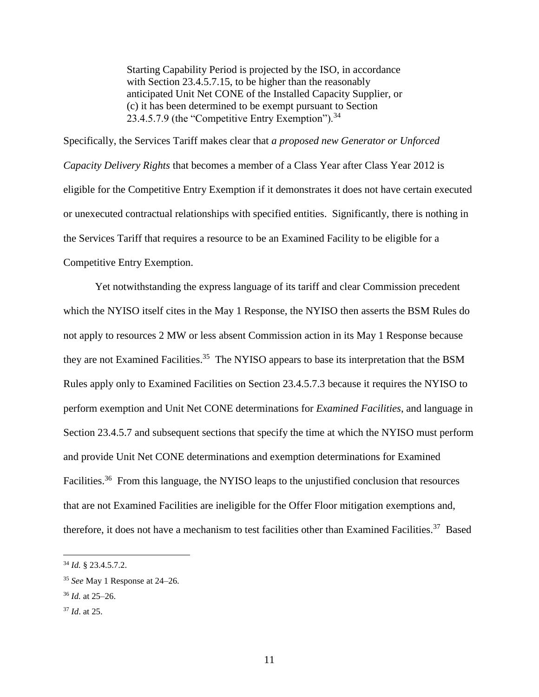Starting Capability Period is projected by the ISO, in accordance with Section 23.4.5.7.15, to be higher than the reasonably anticipated Unit Net CONE of the Installed Capacity Supplier, or (c) it has been determined to be exempt pursuant to Section 23.4.5.7.9 (the "Competitive Entry Exemption").<sup>34</sup>

Specifically, the Services Tariff makes clear that *a proposed new Generator or Unforced Capacity Delivery Rights* that becomes a member of a Class Year after Class Year 2012 is eligible for the Competitive Entry Exemption if it demonstrates it does not have certain executed or unexecuted contractual relationships with specified entities. Significantly, there is nothing in the Services Tariff that requires a resource to be an Examined Facility to be eligible for a Competitive Entry Exemption.

Yet notwithstanding the express language of its tariff and clear Commission precedent which the NYISO itself cites in the May 1 Response, the NYISO then asserts the BSM Rules do not apply to resources 2 MW or less absent Commission action in its May 1 Response because they are not Examined Facilities.<sup>35</sup> The NYISO appears to base its interpretation that the BSM Rules apply only to Examined Facilities on Section 23.4.5.7.3 because it requires the NYISO to perform exemption and Unit Net CONE determinations for *Examined Facilities*, and language in Section 23.4.5.7 and subsequent sections that specify the time at which the NYISO must perform and provide Unit Net CONE determinations and exemption determinations for Examined Facilities.<sup>36</sup> From this language, the NYISO leaps to the unjustified conclusion that resources that are not Examined Facilities are ineligible for the Offer Floor mitigation exemptions and, therefore, it does not have a mechanism to test facilities other than Examined Facilities.<sup>37</sup> Based

<sup>34</sup> *Id.* § 23.4.5.7.2.

<sup>35</sup> *See* May 1 Response at 24–26.

<sup>36</sup> *Id.* at 25–26.

<sup>37</sup> *Id*. at 25.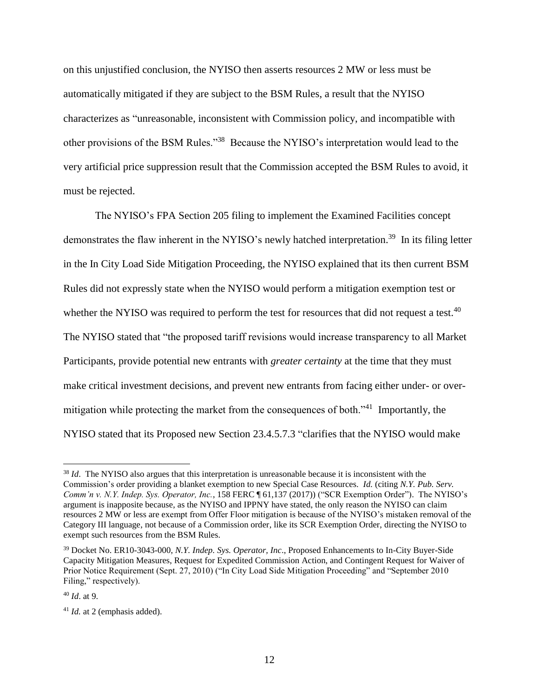on this unjustified conclusion, the NYISO then asserts resources 2 MW or less must be automatically mitigated if they are subject to the BSM Rules, a result that the NYISO characterizes as "unreasonable, inconsistent with Commission policy, and incompatible with other provisions of the BSM Rules."<sup>38</sup> Because the NYISO's interpretation would lead to the very artificial price suppression result that the Commission accepted the BSM Rules to avoid, it must be rejected.

The NYISO's FPA Section 205 filing to implement the Examined Facilities concept demonstrates the flaw inherent in the NYISO's newly hatched interpretation.<sup>39</sup> In its filing letter in the In City Load Side Mitigation Proceeding, the NYISO explained that its then current BSM Rules did not expressly state when the NYISO would perform a mitigation exemption test or whether the NYISO was required to perform the test for resources that did not request a test.<sup>40</sup> The NYISO stated that "the proposed tariff revisions would increase transparency to all Market Participants, provide potential new entrants with *greater certainty* at the time that they must make critical investment decisions, and prevent new entrants from facing either under- or overmitigation while protecting the market from the consequences of both."<sup>41</sup> Importantly, the NYISO stated that its Proposed new Section 23.4.5.7.3 "clarifies that the NYISO would make

<sup>&</sup>lt;sup>38</sup> *Id.* The NYISO also argues that this interpretation is unreasonable because it is inconsistent with the Commission's order providing a blanket exemption to new Special Case Resources. *Id.* (citing *N.Y. Pub. Serv. Comm'n v. N.Y. Indep. Sys. Operator, Inc.*, 158 FERC ¶ 61,137 (2017)) ("SCR Exemption Order"). The NYISO's argument is inapposite because, as the NYISO and IPPNY have stated, the only reason the NYISO can claim resources 2 MW or less are exempt from Offer Floor mitigation is because of the NYISO's mistaken removal of the Category III language, not because of a Commission order, like its SCR Exemption Order, directing the NYISO to exempt such resources from the BSM Rules.

<sup>39</sup> Docket No. ER10-3043-000, *N.Y. Indep. Sys. Operator, Inc*., Proposed Enhancements to In-City Buyer-Side Capacity Mitigation Measures, Request for Expedited Commission Action, and Contingent Request for Waiver of Prior Notice Requirement (Sept. 27, 2010) ("In City Load Side Mitigation Proceeding" and "September 2010 Filing," respectively).

<sup>40</sup> *Id*. at 9.

<sup>&</sup>lt;sup>41</sup> *Id.* at 2 (emphasis added).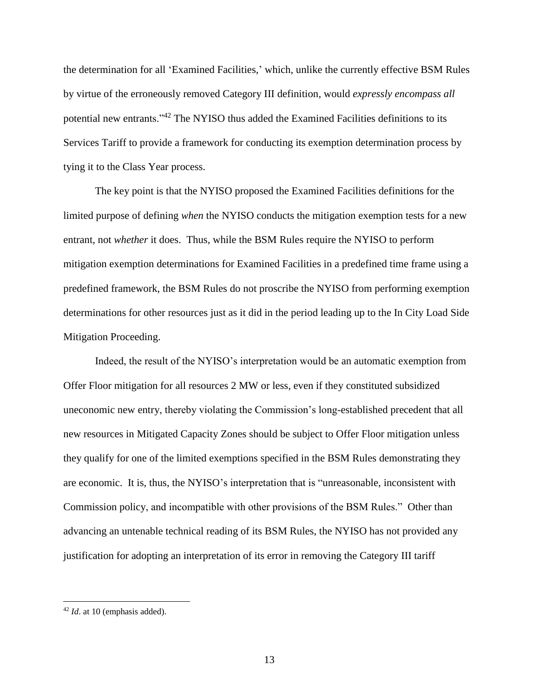the determination for all 'Examined Facilities,' which, unlike the currently effective BSM Rules by virtue of the erroneously removed Category III definition, would *expressly encompass all* potential new entrants."<sup>42</sup> The NYISO thus added the Examined Facilities definitions to its Services Tariff to provide a framework for conducting its exemption determination process by tying it to the Class Year process.

The key point is that the NYISO proposed the Examined Facilities definitions for the limited purpose of defining *when* the NYISO conducts the mitigation exemption tests for a new entrant, not *whether* it does. Thus, while the BSM Rules require the NYISO to perform mitigation exemption determinations for Examined Facilities in a predefined time frame using a predefined framework, the BSM Rules do not proscribe the NYISO from performing exemption determinations for other resources just as it did in the period leading up to the In City Load Side Mitigation Proceeding.

Indeed, the result of the NYISO's interpretation would be an automatic exemption from Offer Floor mitigation for all resources 2 MW or less, even if they constituted subsidized uneconomic new entry, thereby violating the Commission's long-established precedent that all new resources in Mitigated Capacity Zones should be subject to Offer Floor mitigation unless they qualify for one of the limited exemptions specified in the BSM Rules demonstrating they are economic. It is, thus, the NYISO's interpretation that is "unreasonable, inconsistent with Commission policy, and incompatible with other provisions of the BSM Rules." Other than advancing an untenable technical reading of its BSM Rules, the NYISO has not provided any justification for adopting an interpretation of its error in removing the Category III tariff

<sup>42</sup> *Id*. at 10 (emphasis added).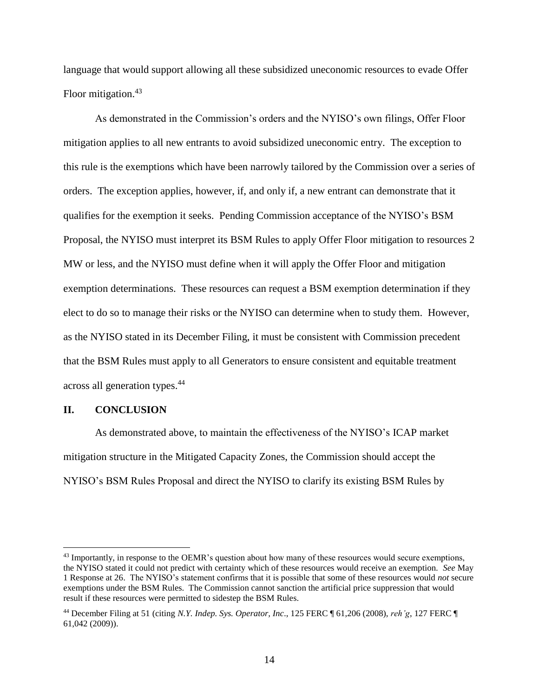language that would support allowing all these subsidized uneconomic resources to evade Offer Floor mitigation.<sup>43</sup>

As demonstrated in the Commission's orders and the NYISO's own filings, Offer Floor mitigation applies to all new entrants to avoid subsidized uneconomic entry. The exception to this rule is the exemptions which have been narrowly tailored by the Commission over a series of orders. The exception applies, however, if, and only if, a new entrant can demonstrate that it qualifies for the exemption it seeks. Pending Commission acceptance of the NYISO's BSM Proposal, the NYISO must interpret its BSM Rules to apply Offer Floor mitigation to resources 2 MW or less, and the NYISO must define when it will apply the Offer Floor and mitigation exemption determinations. These resources can request a BSM exemption determination if they elect to do so to manage their risks or the NYISO can determine when to study them. However, as the NYISO stated in its December Filing, it must be consistent with Commission precedent that the BSM Rules must apply to all Generators to ensure consistent and equitable treatment across all generation types. 44

#### **II. CONCLUSION**

 $\overline{a}$ 

As demonstrated above, to maintain the effectiveness of the NYISO's ICAP market mitigation structure in the Mitigated Capacity Zones, the Commission should accept the NYISO's BSM Rules Proposal and direct the NYISO to clarify its existing BSM Rules by

<sup>&</sup>lt;sup>43</sup> Importantly, in response to the OEMR's question about how many of these resources would secure exemptions, the NYISO stated it could not predict with certainty which of these resources would receive an exemption. *See* May 1 Response at 26. The NYISO's statement confirms that it is possible that some of these resources would *not* secure exemptions under the BSM Rules. The Commission cannot sanction the artificial price suppression that would result if these resources were permitted to sidestep the BSM Rules.

<sup>44</sup> December Filing at 51 (citing *N.Y. Indep. Sys. Operator, Inc*., 125 FERC ¶ 61,206 (2008), *reh'g*, 127 FERC ¶ 61,042 (2009)).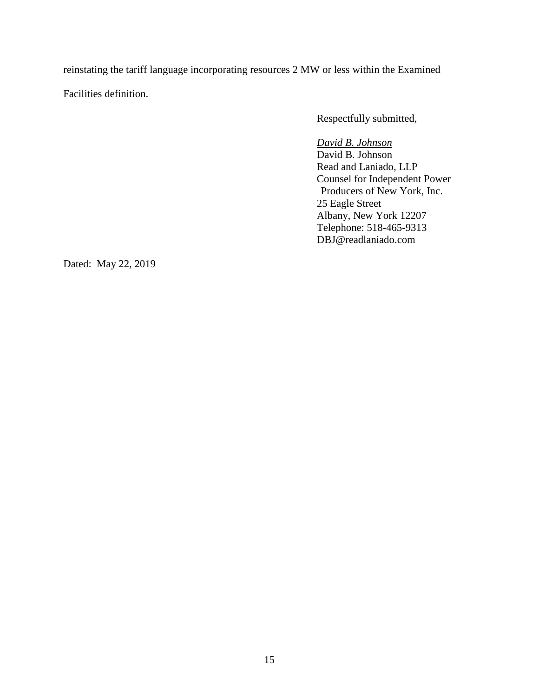reinstating the tariff language incorporating resources 2 MW or less within the Examined Facilities definition.

Respectfully submitted,

*David B. Johnson* David B. Johnson Read and Laniado, LLP Counsel for Independent Power Producers of New York, Inc. 25 Eagle Street Albany, New York 12207 Telephone: 518-465-9313 DBJ@readlaniado.com

Dated: May 22, 2019